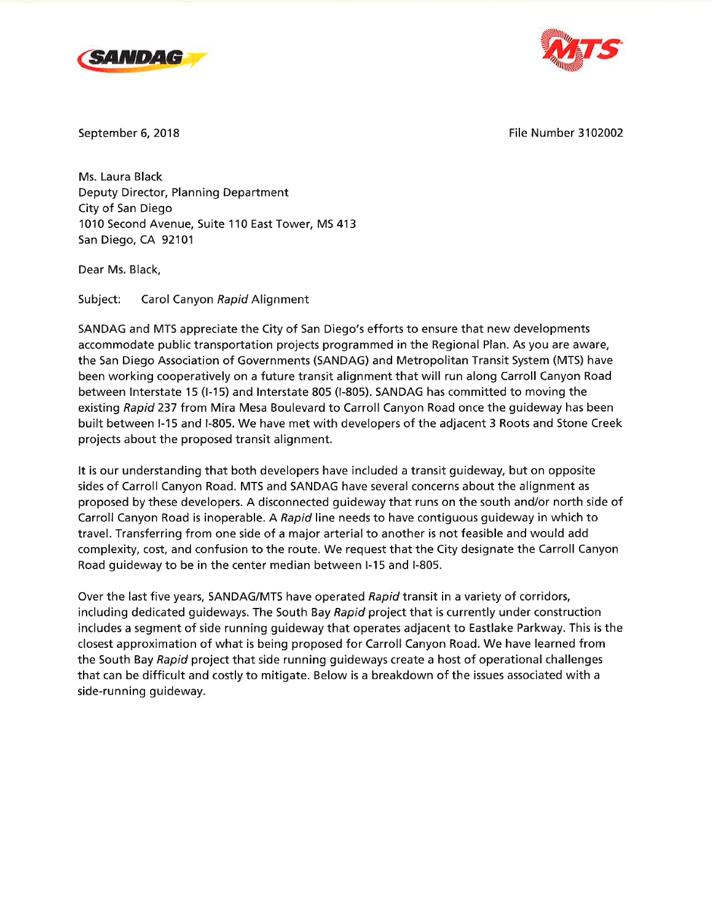



September 6,2018 File Number 3102002

Ms. Laura Black Deputy Director, Planning Department City of San Diego 1010 Second Avenue, Suite 110 East Tower, MS 413 San Diego, CA 92101

Dear Ms. Black,

Subject: Carol Canyon Rapid Alignment

SANDAG and MTS appreciate the City of San Diego's efforts to ensure that new developments accommodate public transportation projects programmed in the Regional Plan. As you are aware, the San Diego Association of Governments (SANDAG) and Metropolitan Transit System (MTS) have been working cooperatively on a future transit alignment that will run along Carroll Canyon Road between lnterstate 15 (l-15) and lnterstate 805 (l-805). SANDAG has committed to moving the existing Rapid 237 from Mira Mesa Boulevard to Carroll Canyon Road once the guideway has been built between l-15 and l-805. We have met with developers of the adjacent 3 Roots and Stone Creek projects about the proposed transit alignment.

It is our understanding that both developers have included a transit guideway, but on opposite sides of Carroll Canyon Road. MTS and SANDAG have several concerns about the alignment as proposed by these developers. A disconnected guideway that runs on the south and/or north side of Carroll Canyon Road is inoperable. A Rapid line needs to have contiguous guideway in which to travel. Transferring from one side of a major arterial to another is not feasible and would add complexity, cost, and confusion to the route. We request that the City designate the Carroll Canyon Road guideway to be in the center median between I-15 and I-805.

Over the last five years, SANDAG/MTS have operated Rapid transit in a variety of corridors, including dedicated guideways. The South Bay Rapid project that is currently under construction includes a segment of side running guideway that operates adjacent to Eastlake Parkway. This is the closest approximation of what is being proposed for Carroll Canyon Road. We have learned from the South Bay Rapid project that side running guideways create a host of operational challenges that can be difficult and costly to mitigate. Below is a breakdown of the issues associated with <sup>a</sup> side-running guideway.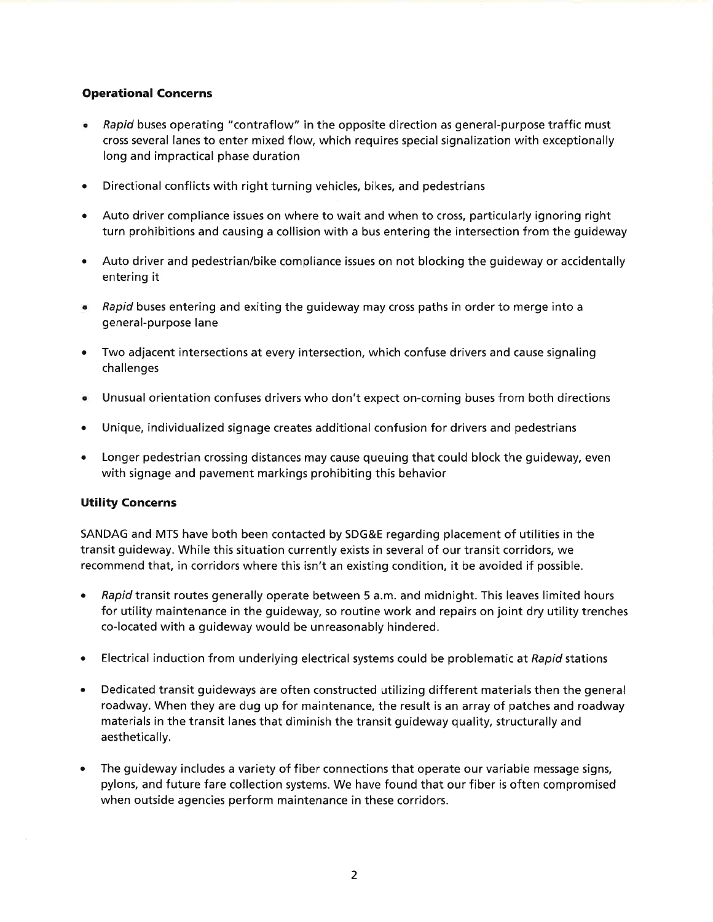## Operational Concerns

- Rapid buses operating "contraflow" in the opposite direction as general-purpose traffic must cross several lanes to enter mixed flow, which requires special signalization with exceptionally long and impractical phase duration a
- Directional conflicts with right turning vehicles, bikes, and pedestrians a
- Auto driver compliance issues on where to wait and when to cross, particularly ignoring right turn prohibitions and causing a collision with a bus entering the intersection from the guideway a
- Auto driver and pedestrian/bike compliance issues on not blocking the guideway or accidentally entering it a
- Rapid buses entering and exiting the guideway may cross paths in order to merge into a general-purpose lane
- Two adjacent intersections at every intersection, which confuse drivers and cause signaling challenges a
- Unusual orientation confuses drivers who don't expect on-coming buses from both directions a
- Unique, individualized signage creates additional confusion for drivers and pedestrians a
- Longer pedestrian crossing dístances may cause queuing that could block the guideway, even with signage and pavement markings prohibiting this behavior a

## Utility Concerns

SANDAG and MTS have both been contacted by SDG&E regarding placement of utilities in the transit guideway. While this situation currently exists in several of our transit corridors, we recommend that, in corridors where this isn't an existing condition, it be avoided if possible.

- a Rapid transit routes generally operate between 5 a.m. and midnight. This leaves limited hours for utility maintenance in the guideway, so routine work and repairs on joint dry utility trenches co-located with a guideway would be unreasonably hindered.
- a Electrical induction from underlying electrical systems could be problematic at Rapid stations
- a Dedicated transit guideways are often constructed utilizing different materials then the general roadway. When they are dug up for maintenance, the result is an array of patches and roadway materials in the transit lanes that diminish the transit guideway quality, structurally and aesthetically.
- The guideway includes a variety of fiber connections that operate our variable message signs, pylons, and future fare collection systems. We have found that our fiber is often compromised when outside agencies perform maintenance in these corridors. a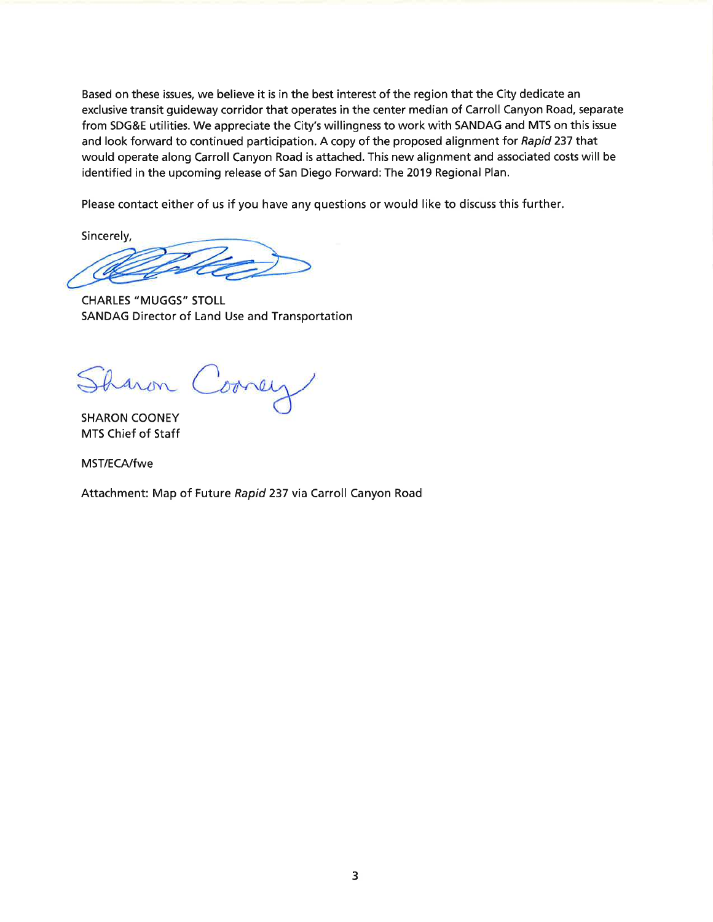Based on these issues, we believe it is in the best interest of the region that the City dedicate an exclusive transit guideway corridor that operates in the center median of Carroll Canyon Road, separate from SDG&E utilities. We appreciate the City's willingness to work with SANDAG and MTS on this issue and look forward to continued participation. A copy of the proposed alignment for Rapid 237 that would operate along Carroll Canyon Road is attached. This new alignment and associated costs will be identified in the upcoming release of San Diego Forward: The 2019 Regional Plan.

Please contact either of us if you have any questions or would like to díscuss this further.

Sincerely,

CHARLES "MUGGS" STOLL SANDAG Director of Land Use and Transportation

Sharon Corney

SHARON COONEY MTS Chief of Staff

MST/ECA/fwe

Attachment: Map of Future Rapid 237 via Carroll Canyon Road